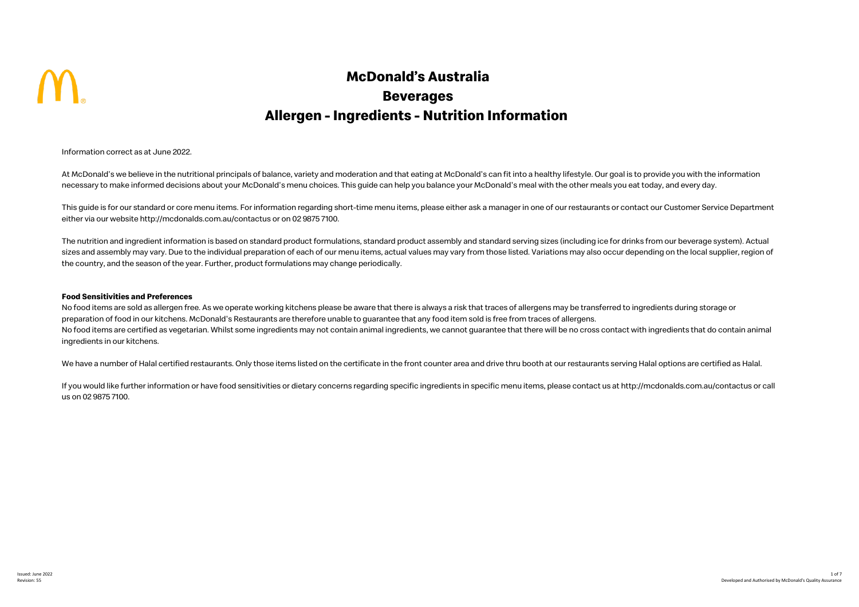

## **McDonald's Australia Beverages Allergen - Ingredients - Nutrition Information**

Information correct as at June 2022.

At McDonald's we believe in the nutritional principals of balance, variety and moderation and that eating at McDonald's can fit into a healthy lifestyle. Our goal is to provide you with the information necessary to make informed decisions about your McDonald's menu choices. This quide can help you balance your McDonald's meal with the other meals you eat today, and every day.

This guide is for our standard or core menu items. For information regarding short-time menu items, please either ask a manager in one of our restaurants or contact our Customer Service Department either via our website http://mcdonalds.com.au/contactus or on 02 9875 7100.

The nutrition and ingredient information is based on standard product formulations, standard product assembly and standard serving sizes (including ice for drinks from our beverage system). Actual sizes and assembly may vary. Due to the individual preparation of each of our menu items, actual values may vary from those listed. Variations may also occur depending on the local supplier, region of the country, and the season of the year. Further, product formulations may change periodically.

## **Food Sensitivities and Preferences**

No food items are sold as allergen free. As we operate working kitchens please be aware that there is always a risk that traces of allergens may be transferred to ingredients during storage or preparation of food in our kitchens. McDonald's Restaurants are therefore unable to guarantee that any food item sold is free from traces of allergens. No food items are certified as vegetarian. Whilst some ingredients may not contain animal ingredients, we cannot guarantee that there will be no cross contact with ingredients that do contain animal ingredients in our kitchens.

We have a number of Halal certified restaurants. Only those items listed on the certificate in the front counter area and drive thru booth at our restaurants serving Halal options are certified as Halal.

If you would like further information or have food sensitivities or dietary concerns regarding specific ingredients in specific menu items, please contact us at http://mcdonalds.com.au/contactus or call us on 02 9875 7100.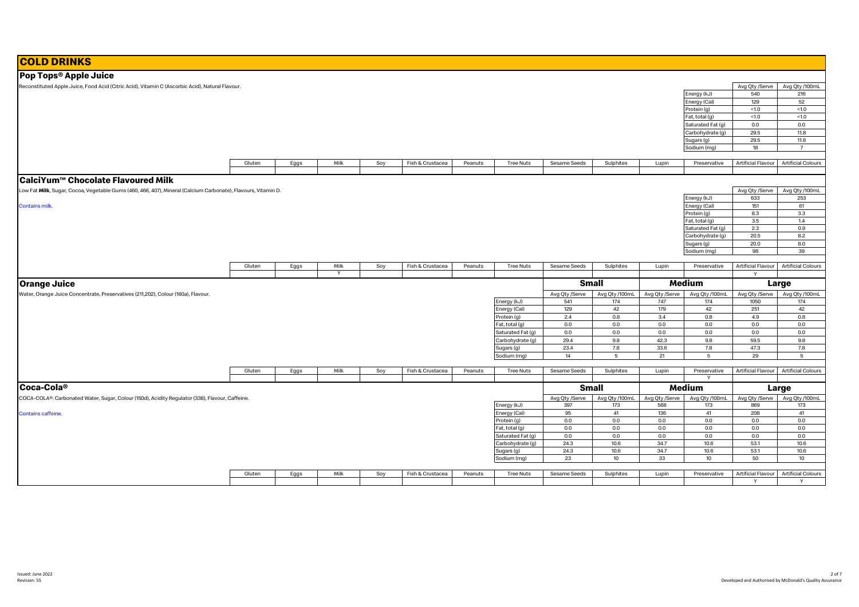| <b>COLD DRINKS</b>                                                                                            |        |      |      |     |                  |         |                                     |                |                |                |                   |                    |                                       |
|---------------------------------------------------------------------------------------------------------------|--------|------|------|-----|------------------|---------|-------------------------------------|----------------|----------------|----------------|-------------------|--------------------|---------------------------------------|
| Pop Tops <sup>®</sup> Apple Juice                                                                             |        |      |      |     |                  |         |                                     |                |                |                |                   |                    |                                       |
| Reconstituted Apple Juice, Food Acid (Citric Acid), Vitamin C (Ascorbic Acid), Natural Flavour.               |        |      |      |     |                  |         |                                     |                |                |                |                   | Avg Qty /Serve     | Avg Qty /100mL                        |
|                                                                                                               |        |      |      |     |                  |         |                                     |                |                |                | Energy (kJ)       | 540                | 216                                   |
|                                                                                                               |        |      |      |     |                  |         |                                     |                |                |                | Energy (Cal)      | 129                | 52                                    |
|                                                                                                               |        |      |      |     |                  |         |                                     |                |                |                | Protein (g)       | < 1.0              | < 1.0                                 |
|                                                                                                               |        |      |      |     |                  |         |                                     |                |                |                | Fat, total (g)    | < 1.0              | <1.0                                  |
|                                                                                                               |        |      |      |     |                  |         |                                     |                |                |                | Saturated Fat (g) | 0.0                | 0.0                                   |
|                                                                                                               |        |      |      |     |                  |         |                                     |                |                |                | Carbohydrate (g)  | 29.5               | 11.8                                  |
|                                                                                                               |        |      |      |     |                  |         |                                     |                |                |                | Sugars (g)        | 29.5               | 11.8                                  |
|                                                                                                               |        |      |      |     |                  |         |                                     |                |                |                | Sodium (mg)       | 18                 | $\overline{7}$                        |
|                                                                                                               |        |      |      |     |                  |         |                                     |                |                |                |                   |                    |                                       |
|                                                                                                               | Gluten | Eggs | Milk | Soy | Fish & Crustacea | Peanuts | <b>Tree Nuts</b>                    | Sesame Seeds   | Sulphites      | Lupin          | Preservative      | Artificial Flavour | <b>Artificial Colours</b>             |
|                                                                                                               |        |      |      |     |                  |         |                                     |                |                |                |                   |                    |                                       |
| CalciYum™ Chocolate Flavoured Milk                                                                            |        |      |      |     |                  |         |                                     |                |                |                |                   |                    |                                       |
| Low Fat Milk, Sugar, Cocoa, Vegetable Gums (460, 466, 407), Mineral (Calcium Carbonate), Flavours, Vitamin D. |        |      |      |     |                  |         |                                     |                |                |                |                   | Avg Qty /Serve     | Avg Qty /100mL                        |
|                                                                                                               |        |      |      |     |                  |         |                                     |                |                |                | Energy (kJ)       | 633                | 253                                   |
| <b>Contains milk.</b>                                                                                         |        |      |      |     |                  |         |                                     |                |                |                | Energy (Cal)      | 151                | 61                                    |
|                                                                                                               |        |      |      |     |                  |         |                                     |                |                |                | Protein (g)       | 8.3                | 3.3                                   |
|                                                                                                               |        |      |      |     |                  |         |                                     |                |                |                | Fat, total (g)    | 3.5                | 1.4                                   |
|                                                                                                               |        |      |      |     |                  |         |                                     |                |                |                | Saturated Fat (g) | 2.3                | 0.9                                   |
|                                                                                                               |        |      |      |     |                  |         |                                     |                |                |                | Carbohydrate (g)  | 20.5               | 8.2                                   |
|                                                                                                               |        |      |      |     |                  |         |                                     |                |                |                | Sugars (g)        | 20.0               | 8.0<br>39                             |
|                                                                                                               |        |      |      |     |                  |         |                                     |                |                |                | Sodium (mg)       | 98                 |                                       |
|                                                                                                               | Gluten | Eggs | Milk | Soy | Fish & Crustacea | Peanuts | <b>Tree Nuts</b>                    | Sesame Seeds   | Sulphites      | Lupin          | Preservative      | Artificial Flavour | <b>Artificial Colours</b>             |
|                                                                                                               |        |      |      |     |                  |         |                                     |                |                |                |                   | $\mathsf{v}$       |                                       |
|                                                                                                               |        |      |      |     |                  |         |                                     |                | <b>Small</b>   |                | Medium            |                    |                                       |
| <b>Orange Juice</b>                                                                                           |        |      |      |     |                  |         |                                     |                |                |                |                   |                    | Large                                 |
| Water, Orange Juice Concentrate, Preservatives (211,202), Colour (160a), Flavour.                             |        |      |      |     |                  |         |                                     | Avg Qty /Serve | Avg Qty /100mL | Avg Qty /Serve | Avg Qty /100mL    | Avg Qty /Serve     | Avg Qty /100mL                        |
|                                                                                                               |        |      |      |     |                  |         | Energy (kJ)                         | 541            | 174            | 747            | 174               | 1050               | 174                                   |
|                                                                                                               |        |      |      |     |                  |         | Energy (Cal)                        | 129            | 42             | 179            | 42                | 251                | 42                                    |
|                                                                                                               |        |      |      |     |                  |         | Protein (g)                         | 2.4<br>0.0     | 0.8<br>0.0     | 3.4<br>0.0     | 0.8<br>0.0        | 4.9<br>0.0         | 0.8<br>0.0                            |
|                                                                                                               |        |      |      |     |                  |         | Fat, total (g)<br>Saturated Fat (g) | 0.0            | 0.0            | 0.0            | 0.0               | 0.0                | 0.0                                   |
|                                                                                                               |        |      |      |     |                  |         | Carbohydrate (g)                    | 29.4           | 9.8            | 42.3           | 9.8               | 59.5               | 9.8                                   |
|                                                                                                               |        |      |      |     |                  |         | Sugars (g)                          | 23.4           | 7.8            | 33.6           | 7.8               | 47.3               | 7.8                                   |
|                                                                                                               |        |      |      |     |                  |         | Sodium (mg)                         | 14             | 5              | 21             | 5                 | 29                 | $5\overline{5}$                       |
|                                                                                                               |        |      |      |     |                  |         |                                     |                |                |                |                   |                    |                                       |
|                                                                                                               | Gluten | Eggs | Milk | Soy | Fish & Crustacea | Peanuts | <b>Tree Nuts</b>                    | Sesame Seeds   | Sulphites      | Lupin          | Preservative      | Artificial Flavour | <b>Artificial Colours</b>             |
|                                                                                                               |        |      |      |     |                  |         |                                     |                |                |                |                   |                    |                                       |
| lCoca-Cola®                                                                                                   |        |      |      |     |                  |         |                                     |                | <b>Small</b>   |                | Medium            |                    | Large                                 |
| COCA-COLA®: Carbonated Water, Sugar, Colour (150d), Acidity Regulator (338), Flavour, Caffeine.               |        |      |      |     |                  |         |                                     | Avg Qty /Serve | Avg Qty /100mL | Avg Qty /Serve | Avg Qty /100mL    | Avg Qty /Serve     | Avg Qty /100mL                        |
|                                                                                                               |        |      |      |     |                  |         | Energy (kJ)                         | 397            | 173            | 568            | 173               | 869                | 173                                   |
| <b>Contains caffeine.</b>                                                                                     |        |      |      |     |                  |         | Energy (Cal)                        | 95             | 41             | 136            | 41                | 208                | 41                                    |
|                                                                                                               |        |      |      |     |                  |         | Protein (g)                         | 0.0            | 0.0            | 0.0            | 0.0               | 0.0                | 0.0                                   |
|                                                                                                               |        |      |      |     |                  |         | Fat, total (g)                      | 0.0            | 0.0            | 0.0            | 0.0               | 0.0                | 0.0                                   |
|                                                                                                               |        |      |      |     |                  |         | Saturated Fat (g)                   | 0.0            | 0.0            | 0.0            | 0.0               | 0.0                | 0.0                                   |
|                                                                                                               |        |      |      |     |                  |         | Carbohydrate (g)                    | 24.3           | 10.6           | 34.7           | 10.6              | 53.1               | 10.6                                  |
|                                                                                                               |        |      |      |     |                  |         | Sugars (g)                          | 24.3           | 10.6           | 34.7           | 10.6              | 53.1               | 10.6                                  |
|                                                                                                               |        |      |      |     |                  |         | Sodium (mg)                         | 23             | 10             | 33             | 10                | 50                 | 10                                    |
|                                                                                                               |        |      |      |     |                  |         |                                     |                |                |                |                   |                    |                                       |
|                                                                                                               | Gluten | Eggs | Milk | Soy | Fish & Crustacea | Peanuts | <b>Tree Nuts</b>                    | Sesame Seeds   | Sulphites      | Lupin          | Preservative      |                    | Artificial Flavour Artificial Colours |

Y Y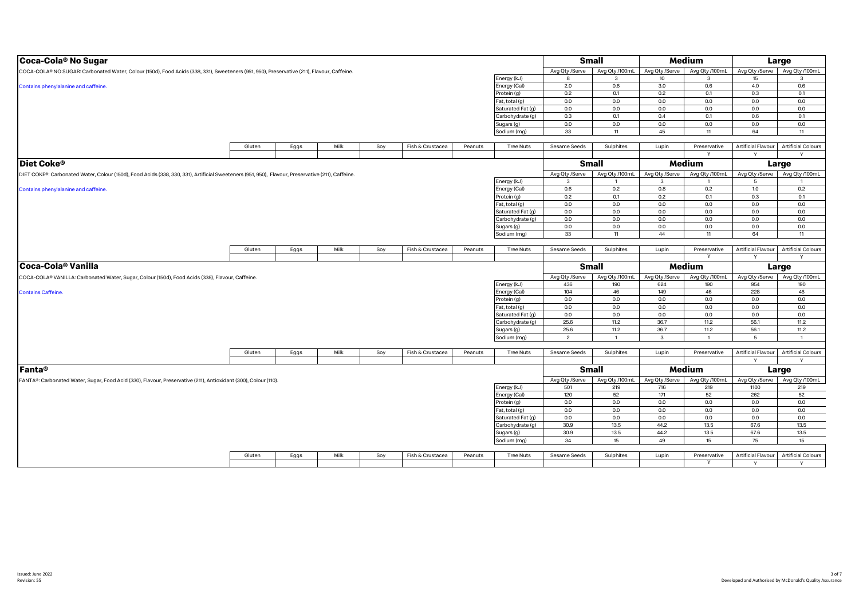| Avg Qty /100mL<br>Avg Qty /100mL<br>Avg Qty /100mL<br>Avg Qty /Serve<br>Avg Qty /Serve<br>Avg Qty /Serve<br>COCA-COLA® NO SUGAR: Carbonated Water, Colour (150d), Food Acids (338, 331), Sweeteners (951, 950), Preservative (211), Flavour, Caffeine.<br>Energy (kJ)<br>10<br>15<br>3<br>3<br>3<br>8<br>0.6<br>4.0<br>Energy (Cal)<br>2.0<br>0.6<br>3.0<br>0.6<br>Contains phenylalanine and caffeine.<br>0.3<br>Protein (g)<br>0.2<br>0.1<br>0.2<br>0.1<br>0.1<br>0.0<br>0.0<br>0.0<br>0.0<br>0.0<br>at, total (g)<br>0.0<br>0.0<br>0.0<br>0.0<br>0.0<br>0.0<br>0.0<br>Saturated Fat (g)<br>0.4<br>0.3<br>0.1<br>0.1<br>0.6<br>0.1<br>Carbohydrate (g)<br>0.0<br>0.0<br>0.0<br>0.0<br>0.0<br>0.0<br>Sugars (g)<br>33<br>45<br>11<br>64<br>Sodium (mg)<br>11<br>11<br>Milk<br>Fish & Crustacea<br>Sulphites<br>Artificial Flavour<br><b>Artificial Colours</b><br>Gluten<br>Eggs<br>Soy<br>Peanuts<br><b>Tree Nuts</b><br>Sesame Seeds<br>Lupin<br>Preservative<br>$\mathsf{v}$<br>Y<br>Diet Coke <sup>®</sup><br><b>Small</b><br>Medium<br>Large<br>Avg Qty /Serve<br>Avg Qty /100mL<br>Avg Qty /Serve<br>Avg Qty /100mL<br>Avg Qty /Serve<br>Avg Qty /100mL<br>DIET COKE®: Carbonated Water, Colour (150d), Food Acids (338, 330, 331), Artificial Sweeteners (951, 950), Flavour, Preservative (211), Caffeine.<br>(kJ) Energy<br>$\mathbf{3}$<br>3<br>5<br>$\mathbf{1}$<br>$\overline{1}$<br>0.6<br>0.2<br>0.8<br>0.2<br>1.0<br>0.2<br>Energy (Cal)<br>Contains phenylalanine and caffeine.<br>0.2<br>0.2<br>0.1<br>0.1<br>0.3<br>0.1<br>rotein (g)<br>0.0<br>at, total (g)<br>0.0<br>0.0<br>0.0<br>0.0<br>0.0<br>Saturated Fat (g)<br>0.0<br>0.0<br>0.0<br>0.0<br>0.0<br>0.0<br>0.0<br>0.0<br>0.0<br>0.0<br>0.0<br>0.0<br>Carbohydrate (g)<br>0.0<br>0.0<br>0.0<br>0.0<br>0.0<br>0.0<br>Sugars (g)<br>Sodium (mg)<br>33<br>44<br>64<br>11<br>11<br>11<br>Fish & Crustacea<br>Sulphites<br>Artificial Flavour<br><b>Artificial Colours</b><br>Gluten<br>Eggs<br>Milk<br>Soy<br>Peanuts<br><b>Tree Nuts</b><br>Sesame Seeds<br>Lupin<br>Preservative<br>$\vee$<br>$\mathsf{v}$<br>Coca-Cola <sup>®</sup> Vanilla<br><b>Medium</b><br><b>Small</b><br>Large<br>Avg Qty /Serve<br>Avg Qty /100mL<br>Avg Qty /100mL<br>Avg Qty /Serve<br>Avg Qty /Serve<br>Avg Qty /100mL<br>COCA-COLA® VANILLA: Carbonated Water, Sugar, Colour (150d), Food Acids (338), Flavour, Caffeine.<br>Energy (kJ)<br>190<br>954<br>190<br>436<br>190<br>624<br>104<br>149<br>46<br>228<br>46<br>Energy (Cal)<br>46<br><b>Contains Caffeine.</b><br>0.0<br>0.0<br>0.0<br>0.0<br>0.0<br>0.0<br>Protein (g)<br>0.0<br>0.0<br>0.0<br>0.0<br>0.0<br>0.0<br>at, total (g)<br>0.0<br>0.0<br>$0.0\,$<br>0.0<br>Saturated Fat (g)<br>0.0<br>0.0<br>25.6<br>11.2<br>36.7<br>11.2<br>56.1<br>11.2<br>Carbohydrate (g)<br>25.6<br>36.7<br>11.2<br>56.1<br>11.2<br>11.2<br>Sugars (g)<br>Sodium (mg)<br>$\overline{2}$<br>$\mathbf{3}$<br>$\overline{1}$<br>5<br>$\overline{1}$ |
|------------------------------------------------------------------------------------------------------------------------------------------------------------------------------------------------------------------------------------------------------------------------------------------------------------------------------------------------------------------------------------------------------------------------------------------------------------------------------------------------------------------------------------------------------------------------------------------------------------------------------------------------------------------------------------------------------------------------------------------------------------------------------------------------------------------------------------------------------------------------------------------------------------------------------------------------------------------------------------------------------------------------------------------------------------------------------------------------------------------------------------------------------------------------------------------------------------------------------------------------------------------------------------------------------------------------------------------------------------------------------------------------------------------------------------------------------------------------------------------------------------------------------------------------------------------------------------------------------------------------------------------------------------------------------------------------------------------------------------------------------------------------------------------------------------------------------------------------------------------------------------------------------------------------------------------------------------------------------------------------------------------------------------------------------------------------------------------------------------------------------------------------------------------------------------------------------------------------------------------------------------------------------------------------------------------------------------------------------------------------------------------------------------------------------------------------------------------------------------------------------------------------------------------------------------------------------------------------------------------------------------------------------------------------------------------------------------------------------------------------------------------------------------------------------------------------------------------------------------------------------------------------------------------------------------------------|
|                                                                                                                                                                                                                                                                                                                                                                                                                                                                                                                                                                                                                                                                                                                                                                                                                                                                                                                                                                                                                                                                                                                                                                                                                                                                                                                                                                                                                                                                                                                                                                                                                                                                                                                                                                                                                                                                                                                                                                                                                                                                                                                                                                                                                                                                                                                                                                                                                                                                                                                                                                                                                                                                                                                                                                                                                                                                                                                                                |
|                                                                                                                                                                                                                                                                                                                                                                                                                                                                                                                                                                                                                                                                                                                                                                                                                                                                                                                                                                                                                                                                                                                                                                                                                                                                                                                                                                                                                                                                                                                                                                                                                                                                                                                                                                                                                                                                                                                                                                                                                                                                                                                                                                                                                                                                                                                                                                                                                                                                                                                                                                                                                                                                                                                                                                                                                                                                                                                                                |
|                                                                                                                                                                                                                                                                                                                                                                                                                                                                                                                                                                                                                                                                                                                                                                                                                                                                                                                                                                                                                                                                                                                                                                                                                                                                                                                                                                                                                                                                                                                                                                                                                                                                                                                                                                                                                                                                                                                                                                                                                                                                                                                                                                                                                                                                                                                                                                                                                                                                                                                                                                                                                                                                                                                                                                                                                                                                                                                                                |
|                                                                                                                                                                                                                                                                                                                                                                                                                                                                                                                                                                                                                                                                                                                                                                                                                                                                                                                                                                                                                                                                                                                                                                                                                                                                                                                                                                                                                                                                                                                                                                                                                                                                                                                                                                                                                                                                                                                                                                                                                                                                                                                                                                                                                                                                                                                                                                                                                                                                                                                                                                                                                                                                                                                                                                                                                                                                                                                                                |
|                                                                                                                                                                                                                                                                                                                                                                                                                                                                                                                                                                                                                                                                                                                                                                                                                                                                                                                                                                                                                                                                                                                                                                                                                                                                                                                                                                                                                                                                                                                                                                                                                                                                                                                                                                                                                                                                                                                                                                                                                                                                                                                                                                                                                                                                                                                                                                                                                                                                                                                                                                                                                                                                                                                                                                                                                                                                                                                                                |
|                                                                                                                                                                                                                                                                                                                                                                                                                                                                                                                                                                                                                                                                                                                                                                                                                                                                                                                                                                                                                                                                                                                                                                                                                                                                                                                                                                                                                                                                                                                                                                                                                                                                                                                                                                                                                                                                                                                                                                                                                                                                                                                                                                                                                                                                                                                                                                                                                                                                                                                                                                                                                                                                                                                                                                                                                                                                                                                                                |
|                                                                                                                                                                                                                                                                                                                                                                                                                                                                                                                                                                                                                                                                                                                                                                                                                                                                                                                                                                                                                                                                                                                                                                                                                                                                                                                                                                                                                                                                                                                                                                                                                                                                                                                                                                                                                                                                                                                                                                                                                                                                                                                                                                                                                                                                                                                                                                                                                                                                                                                                                                                                                                                                                                                                                                                                                                                                                                                                                |
|                                                                                                                                                                                                                                                                                                                                                                                                                                                                                                                                                                                                                                                                                                                                                                                                                                                                                                                                                                                                                                                                                                                                                                                                                                                                                                                                                                                                                                                                                                                                                                                                                                                                                                                                                                                                                                                                                                                                                                                                                                                                                                                                                                                                                                                                                                                                                                                                                                                                                                                                                                                                                                                                                                                                                                                                                                                                                                                                                |
|                                                                                                                                                                                                                                                                                                                                                                                                                                                                                                                                                                                                                                                                                                                                                                                                                                                                                                                                                                                                                                                                                                                                                                                                                                                                                                                                                                                                                                                                                                                                                                                                                                                                                                                                                                                                                                                                                                                                                                                                                                                                                                                                                                                                                                                                                                                                                                                                                                                                                                                                                                                                                                                                                                                                                                                                                                                                                                                                                |
|                                                                                                                                                                                                                                                                                                                                                                                                                                                                                                                                                                                                                                                                                                                                                                                                                                                                                                                                                                                                                                                                                                                                                                                                                                                                                                                                                                                                                                                                                                                                                                                                                                                                                                                                                                                                                                                                                                                                                                                                                                                                                                                                                                                                                                                                                                                                                                                                                                                                                                                                                                                                                                                                                                                                                                                                                                                                                                                                                |
|                                                                                                                                                                                                                                                                                                                                                                                                                                                                                                                                                                                                                                                                                                                                                                                                                                                                                                                                                                                                                                                                                                                                                                                                                                                                                                                                                                                                                                                                                                                                                                                                                                                                                                                                                                                                                                                                                                                                                                                                                                                                                                                                                                                                                                                                                                                                                                                                                                                                                                                                                                                                                                                                                                                                                                                                                                                                                                                                                |
|                                                                                                                                                                                                                                                                                                                                                                                                                                                                                                                                                                                                                                                                                                                                                                                                                                                                                                                                                                                                                                                                                                                                                                                                                                                                                                                                                                                                                                                                                                                                                                                                                                                                                                                                                                                                                                                                                                                                                                                                                                                                                                                                                                                                                                                                                                                                                                                                                                                                                                                                                                                                                                                                                                                                                                                                                                                                                                                                                |
|                                                                                                                                                                                                                                                                                                                                                                                                                                                                                                                                                                                                                                                                                                                                                                                                                                                                                                                                                                                                                                                                                                                                                                                                                                                                                                                                                                                                                                                                                                                                                                                                                                                                                                                                                                                                                                                                                                                                                                                                                                                                                                                                                                                                                                                                                                                                                                                                                                                                                                                                                                                                                                                                                                                                                                                                                                                                                                                                                |
|                                                                                                                                                                                                                                                                                                                                                                                                                                                                                                                                                                                                                                                                                                                                                                                                                                                                                                                                                                                                                                                                                                                                                                                                                                                                                                                                                                                                                                                                                                                                                                                                                                                                                                                                                                                                                                                                                                                                                                                                                                                                                                                                                                                                                                                                                                                                                                                                                                                                                                                                                                                                                                                                                                                                                                                                                                                                                                                                                |
|                                                                                                                                                                                                                                                                                                                                                                                                                                                                                                                                                                                                                                                                                                                                                                                                                                                                                                                                                                                                                                                                                                                                                                                                                                                                                                                                                                                                                                                                                                                                                                                                                                                                                                                                                                                                                                                                                                                                                                                                                                                                                                                                                                                                                                                                                                                                                                                                                                                                                                                                                                                                                                                                                                                                                                                                                                                                                                                                                |
|                                                                                                                                                                                                                                                                                                                                                                                                                                                                                                                                                                                                                                                                                                                                                                                                                                                                                                                                                                                                                                                                                                                                                                                                                                                                                                                                                                                                                                                                                                                                                                                                                                                                                                                                                                                                                                                                                                                                                                                                                                                                                                                                                                                                                                                                                                                                                                                                                                                                                                                                                                                                                                                                                                                                                                                                                                                                                                                                                |
|                                                                                                                                                                                                                                                                                                                                                                                                                                                                                                                                                                                                                                                                                                                                                                                                                                                                                                                                                                                                                                                                                                                                                                                                                                                                                                                                                                                                                                                                                                                                                                                                                                                                                                                                                                                                                                                                                                                                                                                                                                                                                                                                                                                                                                                                                                                                                                                                                                                                                                                                                                                                                                                                                                                                                                                                                                                                                                                                                |
|                                                                                                                                                                                                                                                                                                                                                                                                                                                                                                                                                                                                                                                                                                                                                                                                                                                                                                                                                                                                                                                                                                                                                                                                                                                                                                                                                                                                                                                                                                                                                                                                                                                                                                                                                                                                                                                                                                                                                                                                                                                                                                                                                                                                                                                                                                                                                                                                                                                                                                                                                                                                                                                                                                                                                                                                                                                                                                                                                |
|                                                                                                                                                                                                                                                                                                                                                                                                                                                                                                                                                                                                                                                                                                                                                                                                                                                                                                                                                                                                                                                                                                                                                                                                                                                                                                                                                                                                                                                                                                                                                                                                                                                                                                                                                                                                                                                                                                                                                                                                                                                                                                                                                                                                                                                                                                                                                                                                                                                                                                                                                                                                                                                                                                                                                                                                                                                                                                                                                |
|                                                                                                                                                                                                                                                                                                                                                                                                                                                                                                                                                                                                                                                                                                                                                                                                                                                                                                                                                                                                                                                                                                                                                                                                                                                                                                                                                                                                                                                                                                                                                                                                                                                                                                                                                                                                                                                                                                                                                                                                                                                                                                                                                                                                                                                                                                                                                                                                                                                                                                                                                                                                                                                                                                                                                                                                                                                                                                                                                |
|                                                                                                                                                                                                                                                                                                                                                                                                                                                                                                                                                                                                                                                                                                                                                                                                                                                                                                                                                                                                                                                                                                                                                                                                                                                                                                                                                                                                                                                                                                                                                                                                                                                                                                                                                                                                                                                                                                                                                                                                                                                                                                                                                                                                                                                                                                                                                                                                                                                                                                                                                                                                                                                                                                                                                                                                                                                                                                                                                |
|                                                                                                                                                                                                                                                                                                                                                                                                                                                                                                                                                                                                                                                                                                                                                                                                                                                                                                                                                                                                                                                                                                                                                                                                                                                                                                                                                                                                                                                                                                                                                                                                                                                                                                                                                                                                                                                                                                                                                                                                                                                                                                                                                                                                                                                                                                                                                                                                                                                                                                                                                                                                                                                                                                                                                                                                                                                                                                                                                |
|                                                                                                                                                                                                                                                                                                                                                                                                                                                                                                                                                                                                                                                                                                                                                                                                                                                                                                                                                                                                                                                                                                                                                                                                                                                                                                                                                                                                                                                                                                                                                                                                                                                                                                                                                                                                                                                                                                                                                                                                                                                                                                                                                                                                                                                                                                                                                                                                                                                                                                                                                                                                                                                                                                                                                                                                                                                                                                                                                |
|                                                                                                                                                                                                                                                                                                                                                                                                                                                                                                                                                                                                                                                                                                                                                                                                                                                                                                                                                                                                                                                                                                                                                                                                                                                                                                                                                                                                                                                                                                                                                                                                                                                                                                                                                                                                                                                                                                                                                                                                                                                                                                                                                                                                                                                                                                                                                                                                                                                                                                                                                                                                                                                                                                                                                                                                                                                                                                                                                |
|                                                                                                                                                                                                                                                                                                                                                                                                                                                                                                                                                                                                                                                                                                                                                                                                                                                                                                                                                                                                                                                                                                                                                                                                                                                                                                                                                                                                                                                                                                                                                                                                                                                                                                                                                                                                                                                                                                                                                                                                                                                                                                                                                                                                                                                                                                                                                                                                                                                                                                                                                                                                                                                                                                                                                                                                                                                                                                                                                |
|                                                                                                                                                                                                                                                                                                                                                                                                                                                                                                                                                                                                                                                                                                                                                                                                                                                                                                                                                                                                                                                                                                                                                                                                                                                                                                                                                                                                                                                                                                                                                                                                                                                                                                                                                                                                                                                                                                                                                                                                                                                                                                                                                                                                                                                                                                                                                                                                                                                                                                                                                                                                                                                                                                                                                                                                                                                                                                                                                |
|                                                                                                                                                                                                                                                                                                                                                                                                                                                                                                                                                                                                                                                                                                                                                                                                                                                                                                                                                                                                                                                                                                                                                                                                                                                                                                                                                                                                                                                                                                                                                                                                                                                                                                                                                                                                                                                                                                                                                                                                                                                                                                                                                                                                                                                                                                                                                                                                                                                                                                                                                                                                                                                                                                                                                                                                                                                                                                                                                |
|                                                                                                                                                                                                                                                                                                                                                                                                                                                                                                                                                                                                                                                                                                                                                                                                                                                                                                                                                                                                                                                                                                                                                                                                                                                                                                                                                                                                                                                                                                                                                                                                                                                                                                                                                                                                                                                                                                                                                                                                                                                                                                                                                                                                                                                                                                                                                                                                                                                                                                                                                                                                                                                                                                                                                                                                                                                                                                                                                |
|                                                                                                                                                                                                                                                                                                                                                                                                                                                                                                                                                                                                                                                                                                                                                                                                                                                                                                                                                                                                                                                                                                                                                                                                                                                                                                                                                                                                                                                                                                                                                                                                                                                                                                                                                                                                                                                                                                                                                                                                                                                                                                                                                                                                                                                                                                                                                                                                                                                                                                                                                                                                                                                                                                                                                                                                                                                                                                                                                |
|                                                                                                                                                                                                                                                                                                                                                                                                                                                                                                                                                                                                                                                                                                                                                                                                                                                                                                                                                                                                                                                                                                                                                                                                                                                                                                                                                                                                                                                                                                                                                                                                                                                                                                                                                                                                                                                                                                                                                                                                                                                                                                                                                                                                                                                                                                                                                                                                                                                                                                                                                                                                                                                                                                                                                                                                                                                                                                                                                |
|                                                                                                                                                                                                                                                                                                                                                                                                                                                                                                                                                                                                                                                                                                                                                                                                                                                                                                                                                                                                                                                                                                                                                                                                                                                                                                                                                                                                                                                                                                                                                                                                                                                                                                                                                                                                                                                                                                                                                                                                                                                                                                                                                                                                                                                                                                                                                                                                                                                                                                                                                                                                                                                                                                                                                                                                                                                                                                                                                |
|                                                                                                                                                                                                                                                                                                                                                                                                                                                                                                                                                                                                                                                                                                                                                                                                                                                                                                                                                                                                                                                                                                                                                                                                                                                                                                                                                                                                                                                                                                                                                                                                                                                                                                                                                                                                                                                                                                                                                                                                                                                                                                                                                                                                                                                                                                                                                                                                                                                                                                                                                                                                                                                                                                                                                                                                                                                                                                                                                |
|                                                                                                                                                                                                                                                                                                                                                                                                                                                                                                                                                                                                                                                                                                                                                                                                                                                                                                                                                                                                                                                                                                                                                                                                                                                                                                                                                                                                                                                                                                                                                                                                                                                                                                                                                                                                                                                                                                                                                                                                                                                                                                                                                                                                                                                                                                                                                                                                                                                                                                                                                                                                                                                                                                                                                                                                                                                                                                                                                |
|                                                                                                                                                                                                                                                                                                                                                                                                                                                                                                                                                                                                                                                                                                                                                                                                                                                                                                                                                                                                                                                                                                                                                                                                                                                                                                                                                                                                                                                                                                                                                                                                                                                                                                                                                                                                                                                                                                                                                                                                                                                                                                                                                                                                                                                                                                                                                                                                                                                                                                                                                                                                                                                                                                                                                                                                                                                                                                                                                |
|                                                                                                                                                                                                                                                                                                                                                                                                                                                                                                                                                                                                                                                                                                                                                                                                                                                                                                                                                                                                                                                                                                                                                                                                                                                                                                                                                                                                                                                                                                                                                                                                                                                                                                                                                                                                                                                                                                                                                                                                                                                                                                                                                                                                                                                                                                                                                                                                                                                                                                                                                                                                                                                                                                                                                                                                                                                                                                                                                |
|                                                                                                                                                                                                                                                                                                                                                                                                                                                                                                                                                                                                                                                                                                                                                                                                                                                                                                                                                                                                                                                                                                                                                                                                                                                                                                                                                                                                                                                                                                                                                                                                                                                                                                                                                                                                                                                                                                                                                                                                                                                                                                                                                                                                                                                                                                                                                                                                                                                                                                                                                                                                                                                                                                                                                                                                                                                                                                                                                |
| Gluten<br>Milk<br>Soy<br>Fish & Crustacea<br><b>Tree Nuts</b><br>Sesame Seeds<br>Sulphites<br>Lupin<br>Preservative<br>Artificial Flavour<br><b>Artificial Colours</b><br>Eggs<br>Peanuts                                                                                                                                                                                                                                                                                                                                                                                                                                                                                                                                                                                                                                                                                                                                                                                                                                                                                                                                                                                                                                                                                                                                                                                                                                                                                                                                                                                                                                                                                                                                                                                                                                                                                                                                                                                                                                                                                                                                                                                                                                                                                                                                                                                                                                                                                                                                                                                                                                                                                                                                                                                                                                                                                                                                                      |
|                                                                                                                                                                                                                                                                                                                                                                                                                                                                                                                                                                                                                                                                                                                                                                                                                                                                                                                                                                                                                                                                                                                                                                                                                                                                                                                                                                                                                                                                                                                                                                                                                                                                                                                                                                                                                                                                                                                                                                                                                                                                                                                                                                                                                                                                                                                                                                                                                                                                                                                                                                                                                                                                                                                                                                                                                                                                                                                                                |
| Medium<br>Fanta®<br><b>Small</b><br>Large                                                                                                                                                                                                                                                                                                                                                                                                                                                                                                                                                                                                                                                                                                                                                                                                                                                                                                                                                                                                                                                                                                                                                                                                                                                                                                                                                                                                                                                                                                                                                                                                                                                                                                                                                                                                                                                                                                                                                                                                                                                                                                                                                                                                                                                                                                                                                                                                                                                                                                                                                                                                                                                                                                                                                                                                                                                                                                      |
| Avg Qty /Serve<br>Avg Qty /100mL<br>Avg Qty /Serve<br>Avg Qty /100mL<br>Avg Qty /Serve<br>Avg Qty /100mL<br>FANTA®: Carbonated Water, Sugar, Food Acid (330), Flavour, Preservative (211), Antioxidant (300), Colour (110).                                                                                                                                                                                                                                                                                                                                                                                                                                                                                                                                                                                                                                                                                                                                                                                                                                                                                                                                                                                                                                                                                                                                                                                                                                                                                                                                                                                                                                                                                                                                                                                                                                                                                                                                                                                                                                                                                                                                                                                                                                                                                                                                                                                                                                                                                                                                                                                                                                                                                                                                                                                                                                                                                                                    |
|                                                                                                                                                                                                                                                                                                                                                                                                                                                                                                                                                                                                                                                                                                                                                                                                                                                                                                                                                                                                                                                                                                                                                                                                                                                                                                                                                                                                                                                                                                                                                                                                                                                                                                                                                                                                                                                                                                                                                                                                                                                                                                                                                                                                                                                                                                                                                                                                                                                                                                                                                                                                                                                                                                                                                                                                                                                                                                                                                |
| 501<br>219<br>716<br>219<br>1100<br>219                                                                                                                                                                                                                                                                                                                                                                                                                                                                                                                                                                                                                                                                                                                                                                                                                                                                                                                                                                                                                                                                                                                                                                                                                                                                                                                                                                                                                                                                                                                                                                                                                                                                                                                                                                                                                                                                                                                                                                                                                                                                                                                                                                                                                                                                                                                                                                                                                                                                                                                                                                                                                                                                                                                                                                                                                                                                                                        |
| nergy (kJ)<br>171                                                                                                                                                                                                                                                                                                                                                                                                                                                                                                                                                                                                                                                                                                                                                                                                                                                                                                                                                                                                                                                                                                                                                                                                                                                                                                                                                                                                                                                                                                                                                                                                                                                                                                                                                                                                                                                                                                                                                                                                                                                                                                                                                                                                                                                                                                                                                                                                                                                                                                                                                                                                                                                                                                                                                                                                                                                                                                                              |
| 262<br>Energy (Cal)<br>120<br>52<br>52<br>52<br>0.0<br>0.0<br>0.0<br>Protein (g)<br>0.0<br>0.0<br>0.0                                                                                                                                                                                                                                                                                                                                                                                                                                                                                                                                                                                                                                                                                                                                                                                                                                                                                                                                                                                                                                                                                                                                                                                                                                                                                                                                                                                                                                                                                                                                                                                                                                                                                                                                                                                                                                                                                                                                                                                                                                                                                                                                                                                                                                                                                                                                                                                                                                                                                                                                                                                                                                                                                                                                                                                                                                          |
| 0.0<br>0.0<br>0.0<br>0.0<br>0.0<br>0.0<br>at, total (g)                                                                                                                                                                                                                                                                                                                                                                                                                                                                                                                                                                                                                                                                                                                                                                                                                                                                                                                                                                                                                                                                                                                                                                                                                                                                                                                                                                                                                                                                                                                                                                                                                                                                                                                                                                                                                                                                                                                                                                                                                                                                                                                                                                                                                                                                                                                                                                                                                                                                                                                                                                                                                                                                                                                                                                                                                                                                                        |
| 0.0<br>0.0                                                                                                                                                                                                                                                                                                                                                                                                                                                                                                                                                                                                                                                                                                                                                                                                                                                                                                                                                                                                                                                                                                                                                                                                                                                                                                                                                                                                                                                                                                                                                                                                                                                                                                                                                                                                                                                                                                                                                                                                                                                                                                                                                                                                                                                                                                                                                                                                                                                                                                                                                                                                                                                                                                                                                                                                                                                                                                                                     |
| $0.0\,$<br>Saturated Fat (g)<br>0.0<br>0.0<br>0.0                                                                                                                                                                                                                                                                                                                                                                                                                                                                                                                                                                                                                                                                                                                                                                                                                                                                                                                                                                                                                                                                                                                                                                                                                                                                                                                                                                                                                                                                                                                                                                                                                                                                                                                                                                                                                                                                                                                                                                                                                                                                                                                                                                                                                                                                                                                                                                                                                                                                                                                                                                                                                                                                                                                                                                                                                                                                                              |
| 30.9<br>13.5<br>44.2<br>13.5<br>67.6<br>13.5<br>Carbohydrate (g)                                                                                                                                                                                                                                                                                                                                                                                                                                                                                                                                                                                                                                                                                                                                                                                                                                                                                                                                                                                                                                                                                                                                                                                                                                                                                                                                                                                                                                                                                                                                                                                                                                                                                                                                                                                                                                                                                                                                                                                                                                                                                                                                                                                                                                                                                                                                                                                                                                                                                                                                                                                                                                                                                                                                                                                                                                                                               |
| 44.2<br>13.5<br>67.6<br>13.5<br>30.9<br>13.5<br>Sugars (g)<br>15<br>49<br>15                                                                                                                                                                                                                                                                                                                                                                                                                                                                                                                                                                                                                                                                                                                                                                                                                                                                                                                                                                                                                                                                                                                                                                                                                                                                                                                                                                                                                                                                                                                                                                                                                                                                                                                                                                                                                                                                                                                                                                                                                                                                                                                                                                                                                                                                                                                                                                                                                                                                                                                                                                                                                                                                                                                                                                                                                                                                   |
| 75<br>34<br>15<br>Sodium (mg)                                                                                                                                                                                                                                                                                                                                                                                                                                                                                                                                                                                                                                                                                                                                                                                                                                                                                                                                                                                                                                                                                                                                                                                                                                                                                                                                                                                                                                                                                                                                                                                                                                                                                                                                                                                                                                                                                                                                                                                                                                                                                                                                                                                                                                                                                                                                                                                                                                                                                                                                                                                                                                                                                                                                                                                                                                                                                                                  |
| Milk<br>Fish & Crustacea<br>Sulphites<br><b>Artificial Flavour</b><br><b>Artificial Colours</b><br>Gluten<br>Eggs<br>Soy<br>Peanuts<br><b>Tree Nuts</b><br>Sesame Seeds<br>Lupin<br>Preservative                                                                                                                                                                                                                                                                                                                                                                                                                                                                                                                                                                                                                                                                                                                                                                                                                                                                                                                                                                                                                                                                                                                                                                                                                                                                                                                                                                                                                                                                                                                                                                                                                                                                                                                                                                                                                                                                                                                                                                                                                                                                                                                                                                                                                                                                                                                                                                                                                                                                                                                                                                                                                                                                                                                                               |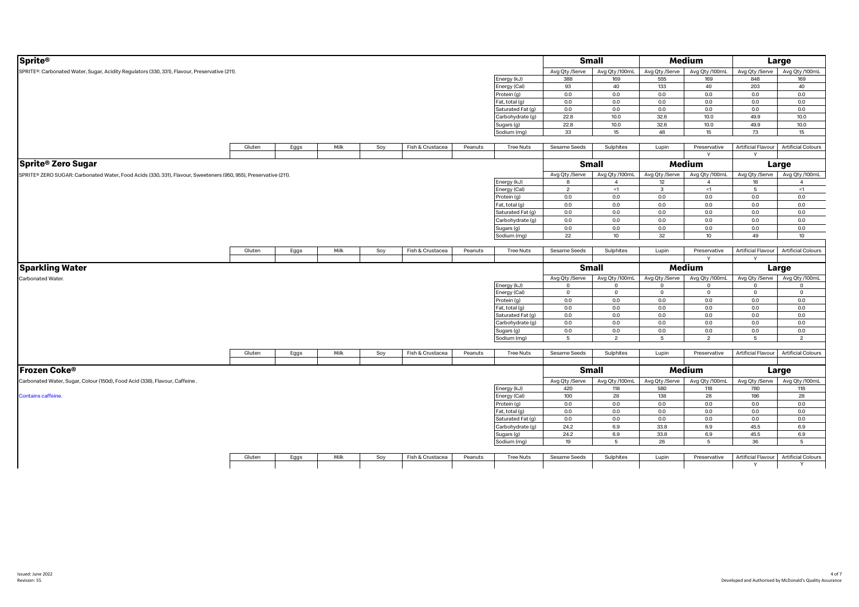| <b>Sprite®</b>                                                                                                   |        |      |      |     |                  |         |                   |                | <b>Small</b>     |                | <b>Medium</b>                 |                                | Large                     |
|------------------------------------------------------------------------------------------------------------------|--------|------|------|-----|------------------|---------|-------------------|----------------|------------------|----------------|-------------------------------|--------------------------------|---------------------------|
| SPRITE®: Carbonated Water, Sugar, Acidity Regulators (330, 331), Flavour, Preservative (211).                    |        |      |      |     |                  |         |                   | Avg Qty /Serve | Avg Qty /100mL   | Avg Qty /Serve | Avg Qty /100mL                | Avg Qty /Serve                 | Avg Qty /100mL            |
|                                                                                                                  |        |      |      |     |                  |         | Energy (kJ)       | 388            | 169              | 555            | 169                           | 848                            | 169                       |
|                                                                                                                  |        |      |      |     |                  |         | Energy (Cal)      | 93             | 40               | 133            | 40                            | 203                            | 40                        |
|                                                                                                                  |        |      |      |     |                  |         | Protein (g)       | 0.0            | 0.0              | 0.0            | 0.0                           | 0.0                            | 0.0                       |
|                                                                                                                  |        |      |      |     |                  |         | Fat, total (g)    | 0.0            | 0.0              | 0.0            | 0.0                           | 0.0                            | 0.0                       |
|                                                                                                                  |        |      |      |     |                  |         | Saturated Fat (g) | 0.0            | 0.0              | 0.0            | 0.0                           | 0.0                            | 0.0                       |
|                                                                                                                  |        |      |      |     |                  |         | Carbohydrate (g)  | 22.8           | 10.0             | 32.6           | 10.0                          | 49.9                           | 10.0                      |
|                                                                                                                  |        |      |      |     |                  |         | Sugars (g)        | 22.8           | 10.0             | 32.6           | 10.0                          | 49.9                           | 10.0                      |
|                                                                                                                  |        |      |      |     |                  |         | Sodium (mg)       | 33             | 15 <sup>15</sup> | 48             | 15 <sup>15</sup>              | 73                             | 15                        |
|                                                                                                                  |        |      |      |     |                  |         |                   |                |                  |                |                               |                                |                           |
|                                                                                                                  | Gluten | Eggs | Milk | Soy | Fish & Crustacea | Peanuts | <b>Tree Nuts</b>  | Sesame Seeds   | Sulphites        | Lupin          | Preservative                  | Artificial Flavour             | <b>Artificial Colours</b> |
|                                                                                                                  |        |      |      |     |                  |         |                   |                |                  |                |                               |                                |                           |
| <b>Sprite<sup>®</sup> Zero Sugar</b>                                                                             |        |      |      |     |                  |         |                   |                | <b>Small</b>     |                | Medium                        |                                | Large                     |
| SPRITE® ZERO SUGAR: Carbonated Water, Food Acids (330, 331), Flavour, Sweeteners (950, 955), Preservative (211). |        |      |      |     |                  |         |                   | Avg Qty /Serve | Avg Qty /100mL   |                | Avg Qty /Serve Avg Qty /100mL | Avg Qty /Serve                 | Avg Qty /100mL            |
|                                                                                                                  |        |      |      |     |                  |         | Energy (kJ)       | 8              | $\overline{4}$   | 12             | $\overline{4}$                | 18                             | $\overline{4}$            |
|                                                                                                                  |        |      |      |     |                  |         | Energy (Cal)      | $\overline{2}$ | <1               | $\mathbf{3}$   | <1                            | $5\phantom{.0}$                | $<1\,$                    |
|                                                                                                                  |        |      |      |     |                  |         | Protein (g)       | 0.0            | 0.0              | 0.0            | 0.0                           | 0.0                            | 0.0                       |
|                                                                                                                  |        |      |      |     |                  |         | Fat, total (g)    | 0.0            | 0.0              | 0.0            | 0.0                           | 0.0                            | 0.0                       |
|                                                                                                                  |        |      |      |     |                  |         | Saturated Fat (g) | 0.0            | 0.0              | 0.0            | 0.0                           | 0.0                            | 0.0                       |
|                                                                                                                  |        |      |      |     |                  |         | Carbohydrate (g)  | $0.0\,$        | 0.0              | $0.0\,$        | 0.0                           | 0.0                            | 0.0                       |
|                                                                                                                  |        |      |      |     |                  |         | Sugars (g)        | 0.0            | 0.0              | 0.0            | 0.0                           | 0.0                            | 0.0                       |
|                                                                                                                  |        |      |      |     |                  |         | Sodium (mg)       | 22             | 10               | 32             | 10 <sub>10</sub>              | 49                             | 10                        |
|                                                                                                                  |        |      |      |     |                  |         |                   |                |                  |                |                               |                                |                           |
|                                                                                                                  | Gluten | Eggs | Milk | Soy | Fish & Crustacea | Peanuts | <b>Tree Nuts</b>  | Sesame Seeds   | Sulphites        | Lupin          | Preservative                  | Artificial Flavour             | <b>Artificial Colours</b> |
|                                                                                                                  |        |      |      |     |                  |         |                   |                |                  |                |                               | $\checkmark$                   |                           |
|                                                                                                                  |        |      |      |     |                  |         |                   |                |                  |                |                               |                                |                           |
| <b>Sparkling Water</b>                                                                                           |        |      |      |     |                  |         |                   |                | <b>Small</b>     |                | Medium                        |                                | Large                     |
| Carbonated Water.                                                                                                |        |      |      |     |                  |         |                   | Avg Qty /Serve | Avg Qty /100mL   | Avg Qty /Serve | Avg Qty /100mL                | Avg Qty /Serve                 | Avg Qty /100mL            |
|                                                                                                                  |        |      |      |     |                  |         | Energy (kJ)       | $\circ$        | $\mathbf{0}$     | $\Omega$       | $\mathbf{0}$                  | $\mathbf{0}$                   | $^{\circ}$                |
|                                                                                                                  |        |      |      |     |                  |         | Energy (Cal)      | $\mathsf 0$    | $\mathbf 0$      | $\mathbf 0$    | $\mathbf 0$                   | $\mathsf 0$                    | $\circ$                   |
|                                                                                                                  |        |      |      |     |                  |         | Protein (g)       | 0.0            | 0.0              | 0.0            | 0.0                           | 0.0                            | 0.0                       |
|                                                                                                                  |        |      |      |     |                  |         | Fat, total (g)    | 0.0            | 0.0              | 0.0            | 0.0                           | 0.0                            | 0.0                       |
|                                                                                                                  |        |      |      |     |                  |         | Saturated Fat (g) | 0.0            | 0.0              | 0.0            | 0.0                           | 0.0                            | 0.0                       |
|                                                                                                                  |        |      |      |     |                  |         | Carbohydrate (g)  | 0.0            | 0.0              | 0.0            | 0.0                           | 0.0                            | 0.0                       |
|                                                                                                                  |        |      |      |     |                  |         | Sugars (g)        | 0.0            | 0.0              | 0.0            | 0.0                           | 0.0                            | 0.0                       |
|                                                                                                                  |        |      |      |     |                  |         | Sodium (mg)       | 5              | $\mathfrak{p}$   | 5              | $\overline{2}$                | 5                              | $\overline{2}$            |
|                                                                                                                  | Gluten | Eggs | Milk | Soy | Fish & Crustacea | Peanuts | <b>Tree Nuts</b>  | Sesame Seeds   | Sulphites        | Lupin          | Preservative                  | Artificial Flavour             | <b>Artificial Colours</b> |
|                                                                                                                  |        |      |      |     |                  |         |                   |                |                  |                |                               |                                |                           |
| <b>IFrozen Coke®</b>                                                                                             |        |      |      |     |                  |         |                   |                | <b>Small</b>     |                | Medium                        |                                | Large                     |
| Carbonated Water, Sugar, Colour (150d), Food Acid (338), Flavour, Caffeine.                                      |        |      |      |     |                  |         |                   | Avg Qty /Serve | Avg Qty /100mL   | Avg Qty /Serve | Avg Qty /100mL                | Avg Qty /Serve                 | Avg Qty /100mL            |
|                                                                                                                  |        |      |      |     |                  |         | Energy (kJ)       | 420            | 118              | 580            | 118                           | 780                            | 118                       |
| Contains caffeine.                                                                                               |        |      |      |     |                  |         | Energy (Cal)      | 100            | 28               | 138            | 28                            | 186                            | 28                        |
|                                                                                                                  |        |      |      |     |                  |         | Protein (g)       | $0.0\,$        | 0.0              | $0.0\,$        | $0.0\,$                       | 0.0                            | 0.0                       |
|                                                                                                                  |        |      |      |     |                  |         | Fat, total (g)    | 0.0            | 0.0              | 0.0            | 0.0                           | 0.0                            | 0.0                       |
|                                                                                                                  |        |      |      |     |                  |         | Saturated Fat (g) | 0.0            | 0.0              | 0.0            | 0.0                           | 0.0                            | 0.0                       |
|                                                                                                                  |        |      |      |     |                  |         | Carbohydrate (g)  | 24.2           | 6.9              | 33.8           | 6.9                           | 45.5                           | 6.9                       |
|                                                                                                                  |        |      |      |     |                  |         | Sugars (g)        | 24.2           | 6.9              | 33.8           | 6.9                           | 45.5                           | 6.9                       |
|                                                                                                                  |        |      |      |     |                  |         | Sodium (mg)       | 19             | 5                | 26             | 5                             | 36                             | $5\overline{5}$           |
|                                                                                                                  |        |      |      |     |                  |         |                   |                |                  |                |                               |                                |                           |
|                                                                                                                  | Gluten | Eggs | Milk | Soy | Fish & Crustacea | Peanuts | <b>Tree Nuts</b>  | Sesame Seeds   | Sulphites        | Lupin          | Preservative                  | <b>Artificial Flavour</b><br>Y | <b>Artificial Colours</b> |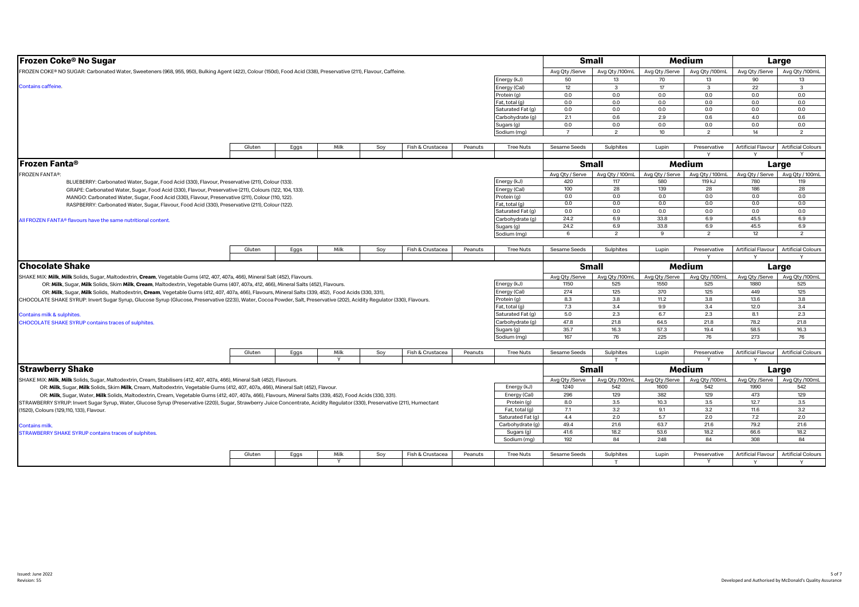| <b>Frozen Coke<sup>®</sup> No Sugar</b>                                                                                                                                      |        |      |                      |     |                  |         |                                     |                     | <b>Small</b>    |                 | Medium          |                           | Large                     |  |
|------------------------------------------------------------------------------------------------------------------------------------------------------------------------------|--------|------|----------------------|-----|------------------|---------|-------------------------------------|---------------------|-----------------|-----------------|-----------------|---------------------------|---------------------------|--|
| FROZEN COKE® NO SUGAR: Carbonated Water, Sweeteners (968, 955, 950), Bulking Agent (422), Colour (150d), Food Acid (338), Preservative (211), Flavour, Caffeine.             |        |      |                      |     |                  |         |                                     | Avg Qty /Serve      | Avg Qty /100mL  | Avg Qty /Serve  | Avg Qty /100mL  | Avg Qty /Serve            | Avg Qty /100mL            |  |
|                                                                                                                                                                              |        |      |                      |     |                  |         | Energy (kJ)                         | 50                  | 13              | 70              | 13              | 90                        | 13                        |  |
| <b>Contains caffeine.</b>                                                                                                                                                    |        |      |                      |     |                  |         | Energy (Cal)                        | 12                  | $\mathbf{3}$    | 17              | 3               | 22                        | $\mathbf{3}$              |  |
|                                                                                                                                                                              |        |      |                      |     |                  |         | Protein (g)                         | 0.0                 | 0.0             | 0.0             | 0.0             | 0.0                       | 0.0                       |  |
|                                                                                                                                                                              |        |      |                      |     |                  |         | Fat. total (g)                      | 0.0                 | 0.0             | 0.0             | 0.0             | 0.0                       | 0.0                       |  |
|                                                                                                                                                                              |        |      |                      |     |                  |         | Saturated Fat (g)                   | 0.0                 | 0.0             | 0.0             | 0.0             | 0.0                       | 0.0                       |  |
|                                                                                                                                                                              |        |      |                      |     |                  |         | Carbohydrate (g)                    | 2.1                 | 0.6             | 2.9             | 0.6             | 4.0                       | 0.6                       |  |
|                                                                                                                                                                              |        |      |                      |     |                  |         | Sugars (g)                          | 0.0                 | 0.0             | 0.0             | 0.0             | 0.0                       | 0.0                       |  |
|                                                                                                                                                                              |        |      |                      |     |                  |         | Sodium (mg)                         | $\overline{7}$      | $\overline{2}$  | 10              | $\overline{2}$  | 14                        | $\overline{2}$            |  |
|                                                                                                                                                                              |        |      |                      |     |                  |         |                                     |                     |                 |                 |                 |                           |                           |  |
|                                                                                                                                                                              | Gluten | Eggs | Milk                 | Soy | Fish & Crustacea | Peanuts | <b>Tree Nuts</b>                    | Sesame Seeds        | Sulphites       | Lupin           | Preservative    | <b>Artificial Flavour</b> | <b>Artificial Colours</b> |  |
|                                                                                                                                                                              |        |      |                      |     |                  |         |                                     |                     |                 |                 |                 | $\mathsf{v}$              |                           |  |
| <b>Frozen Fanta®</b>                                                                                                                                                         |        |      |                      |     |                  |         |                                     |                     | <b>Small</b>    |                 | Medium          |                           | Large                     |  |
| <b>FROZEN FANTA®:</b>                                                                                                                                                        |        |      |                      |     |                  |         |                                     | Avg Qty / Serve     | Avg Qty / 100mL | Avg Qty / Serve | Avg Qty / 100mL | Avg Qty / Serve           | Avg Qty / 100mL           |  |
| BLUEBERRY: Carbonated Water, Sugar, Food Acid (330), Flavour, Preservative (211), Colour (133).                                                                              |        |      |                      |     |                  |         | Energy (kJ)                         | 420                 | 117             | 580             | 119 kJ          | 780                       | 119                       |  |
| GRAPE: Carbonated Water, Sugar, Food Acid (330), Flavour, Preservative (211), Colours (122, 104, 133).                                                                       |        |      |                      |     |                  |         | Energy (Cal)                        | 100                 | 28              | 139             | 28              | 186                       | 28                        |  |
| MANGO: Carbonated Water, Sugar, Food Acid (330), Flavour, Preservative (211), Colour (110, 122).                                                                             |        |      |                      |     |                  |         | Protein (g)                         | 0.0                 | 0.0             | 0.0             | 0.0             | 0.0                       | 0.0                       |  |
| RASPBERRY: Carbonated Water, Sugar, Flavour, Food Acid (330), Preservative (211), Colour (122).                                                                              |        |      |                      |     |                  |         | Fat, total (g)                      | 0.0                 | 0.0             | 0.0             | 0.0             | 0.0                       | 0.0                       |  |
|                                                                                                                                                                              |        |      |                      |     |                  |         | Saturated Fat (g)                   | 0.0                 | 0.0             | 0.0             | 0.0             | 0.0                       | 0.0                       |  |
| All FROZEN FANTA® flavours have the same nutritional content.                                                                                                                |        |      |                      |     |                  |         | Carbohydrate (g)                    | 24.2                | 6.9             | 33.8            | 6.9             | 45.5                      | 6.9                       |  |
|                                                                                                                                                                              |        |      |                      |     |                  |         | Sugars (g)                          | 24.2                | 6.9             | 33.8            | 6.9             | 45.5                      | 6.9                       |  |
|                                                                                                                                                                              |        |      |                      |     |                  |         | Sodium (mg)                         | 6                   | $\overline{2}$  | $\mathbf{q}$    | $\overline{2}$  | 12                        | $\overline{2}$            |  |
|                                                                                                                                                                              |        |      |                      |     |                  |         |                                     |                     |                 |                 |                 |                           |                           |  |
|                                                                                                                                                                              | Gluten | Eggs | Milk                 | Soy | Fish & Crustacea | Peanuts | <b>Tree Nuts</b>                    | Sesame Seeds        | Sulphites       | Lupin           | Preservative    | <b>Artificial Flavour</b> | <b>Artificial Colours</b> |  |
|                                                                                                                                                                              |        |      |                      |     |                  |         |                                     |                     |                 |                 |                 |                           |                           |  |
|                                                                                                                                                                              |        |      |                      |     |                  |         |                                     |                     |                 |                 |                 |                           |                           |  |
| <b>Chocolate Shake</b>                                                                                                                                                       |        |      |                      |     |                  |         |                                     |                     | <b>Small</b>    |                 | Medium          |                           | Large                     |  |
|                                                                                                                                                                              |        |      |                      |     |                  |         |                                     |                     |                 |                 |                 |                           |                           |  |
| SHAKE MIX: Milk, Milk Solids, Sugar, Maltodextrin, Cream, Vegetable Gums (412, 407, 407a, 466), Mineral Salt (452), Flavours.                                                |        |      |                      |     |                  |         |                                     | Avg Qty /Serve      | Avg Qty /100mL  | Avg Qty /Serve  | Avg Qty /100mL  | Avg Qty /Serve            | Avg Qty /100mL            |  |
| OR: Milk, Sugar, Milk Solids, Skim Milk, Cream, Maltodextrin, Vegetable Gums (407, 407a, 412, 466), Mineral Salts (452), Flavours.                                           |        |      |                      |     |                  |         | Energy (kJ)                         | 1150                | 525             | 1550            | 525             | 1880<br>449               | 525                       |  |
| OR: Milk, Sugar, Milk Solids, Maltodextrin, Cream, Vegetable Gums (412, 407, 407a, 466), Flavours, Mineral Salts (339, 452), Food Acids (330, 331),                          |        |      |                      |     |                  |         | Energy (Cal)                        | 274                 | 125             | 370             | 125             |                           | 125                       |  |
| CHOCOLATE SHAKE SYRUP: Invert Sugar Syrup, Glucose Syrup (Glucose, Preservative (223)), Water, Cocoa Powder, Salt, Preservative (202), Acidity Regulator (330), Flavours.    |        |      |                      |     |                  |         | Protein (g)                         | 8.3                 | 3.8             | 11.2            | 3.8             | 13.6                      | 3.8                       |  |
|                                                                                                                                                                              |        |      |                      |     |                  |         | Fat, total (g)                      | 7.3                 | 3.4             | 9.9             | 3.4             | 12.0                      | 3.4                       |  |
| Contains milk & sulphites.                                                                                                                                                   |        |      |                      |     |                  |         | Saturated Fat (g)                   | 5.0                 | 2.3             | 6.7             | 2.3             | 8.1                       | 2.3                       |  |
| CHOCOLATE SHAKE SYRUP contains traces of sulphites.                                                                                                                          |        |      |                      |     |                  |         | Carbohydrate (g)                    | 47.8                | 21.8            | 64.5            | 21.8            | 78.2                      | 21.8                      |  |
|                                                                                                                                                                              |        |      |                      |     |                  |         | Sugars (g)                          | 35.7                | 16.3            | 57.3            | 19.4            | 58.5                      | 16.3                      |  |
|                                                                                                                                                                              |        |      |                      |     |                  |         | Sodium (mg)                         | 167                 | 76              | 225             | 76              | 273                       | 76                        |  |
|                                                                                                                                                                              | Gluten | Eggs | Milk                 | Soy | Fish & Crustacea | Peanuts | <b>Tree Nuts</b>                    | <b>Sesame Seeds</b> | Sulphites       | Lupin           | Preservative    | <b>Artificial Flavour</b> | <b>Artificial Colours</b> |  |
|                                                                                                                                                                              |        |      | Y                    |     |                  |         |                                     |                     | T               |                 |                 | Y                         |                           |  |
|                                                                                                                                                                              |        |      |                      |     |                  |         |                                     |                     | <b>Small</b>    |                 | Medium          |                           |                           |  |
| <b>Strawberry Shake</b>                                                                                                                                                      |        |      |                      |     |                  |         |                                     |                     |                 |                 |                 |                           | Large                     |  |
| SHAKE MIX: Milk, Milk Solids, Sugar, Maltodextrin, Cream, Stabilisers (412, 407, 407a, 466), Mineral Salt (452), Flavours.                                                   |        |      |                      |     |                  |         |                                     | Avg Qty /Serve      | Avg Qty /100mL  | Avg Qty /Serve  | Avg Qty /100mL  | Avg Qty /Serve            | Avg Qty /100mL            |  |
| OR: Milk, Sugar, Milk Solids, Skim Milk, Cream, Maltodextrin, Vegetable Gums (412, 407, 407a, 466), Mineral Salt (452), Flavour.                                             |        |      |                      |     |                  |         | Energy (kJ)                         | 1240                | 542             | 1600            | 542             | 1990                      | 542                       |  |
| OR: Milk, Sugar, Water, Milk Solids, Maltodextrin, Cream, Vegetable Gums (412, 407, 407a, 466), Flavours, Mineral Salts (339, 452), Food Acids (330, 331).                   |        |      |                      |     |                  |         | Energy (Cal)                        | 296                 | 129             | 382             | 129             | 473                       | 129                       |  |
| STRAWBERRY SYRUP: Invert Sugar Syrup, Water, Glucose Syrup (Preservative (220)), Sugar, Strawberry Juice Concentrate, Acidity Regulator (330), Preservative (211), Humectant |        |      |                      |     |                  |         | Protein (a)                         | 8.0                 | 3.5             | 10.3            | 3.5             | 12.7                      | 3.5                       |  |
| (1520), Colours (129,110, 133), Flavour.                                                                                                                                     |        |      |                      |     |                  |         | Fat, total (g)<br>Saturated Fat (g) | 7.1<br>4.4          | 3.2<br>2.0      | 9.1<br>5.7      | 3.2<br>2.0      | 11.6<br>7.2               | 3.2<br>2.0                |  |
|                                                                                                                                                                              |        |      |                      |     |                  |         |                                     | 49.4                | 21.6            | 63.7            | 21.6            | 79.2                      | 21.6                      |  |
| <b>Contains milk.</b>                                                                                                                                                        |        |      |                      |     |                  |         | Carbohydrate (g)<br>Sugars (g)      | 41.6                | 18.2            | 53.6            | 18.2            | 66.6                      | 18.2                      |  |
| <b>STRAWBERRY SHAKE SYRUP contains traces of sulphites</b>                                                                                                                   |        |      |                      |     |                  |         | Sodium (mg)                         | 192                 | 84              | 248             | 84              | 308                       | 84                        |  |
|                                                                                                                                                                              |        |      |                      |     |                  |         |                                     |                     |                 |                 |                 |                           |                           |  |
|                                                                                                                                                                              | Gluten | Eggs | Milk<br>$\mathsf{v}$ | Soy | Fish & Crustacea | Peanuts | <b>Tree Nuts</b>                    | Sesame Seeds        | Sulphites       | Lupin           | Preservative    | <b>Artificial Flavour</b> | <b>Artificial Colours</b> |  |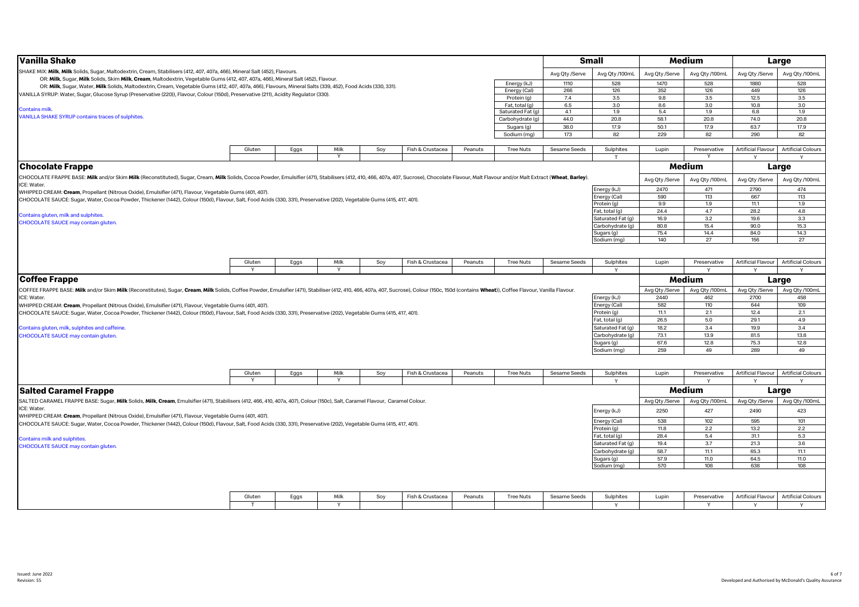| Vanilla Shake                                                                                                                                                                                                                  |        |      |          |     |                  |         |                             |                | <b>Small</b>                |                | Medium         |                           | Large                     |
|--------------------------------------------------------------------------------------------------------------------------------------------------------------------------------------------------------------------------------|--------|------|----------|-----|------------------|---------|-----------------------------|----------------|-----------------------------|----------------|----------------|---------------------------|---------------------------|
| SHAKE MIX: <b>Milk, Milk</b> Solids, Sugar, Maltodextrin, Cream, Stabilisers (412, 407, 407a, 466), Mineral Salt (452), Flavours.                                                                                              |        |      |          |     |                  |         |                             | Avg Qty /Serve | Avg Qty /100mL              | Avg Qty /Serve | Avg Qty /100mL | Avg Qty /Serve            | Avg Qty /100mL            |
| OR: Milk, Sugar, Milk Solids, Skim Milk, Cream, Maltodextrin, Vegetable Gums (412, 407, 407a, 466), Mineral Salt (452), Flavour.                                                                                               |        |      |          |     |                  |         |                             |                | 528                         | 1470           | 528            | 1880                      | 528                       |
| OR: Milk, Sugar, Water, Milk Solids, Maltodextrin, Cream, Vegetable Gums (412, 407, 407a, 466), Flavours, Mineral Salts (339, 452), Food Acids (330, 331).                                                                     |        |      |          |     |                  |         | Energy (kJ)<br>Energy (Cal) | 1110<br>266    | 126                         | 352            | 126            | 449                       | 126                       |
| VANILLA SYRUP: Water, Sugar, Glucose Syrup (Preservative (220)), Flavour, Colour (150d), Preservative (211), Acidity Regulator (330)                                                                                           |        |      |          |     |                  |         | Protein (g)                 | $7.4$          | 3.5                         | 9.8            | 3.5            | 12.5                      | 3.5                       |
|                                                                                                                                                                                                                                |        |      |          |     |                  |         | Fat, total (g)              | 6.5            | 3.0                         | 8.6            | 3.0            | 10.8                      | 3.0                       |
| <b>Contains milk.</b>                                                                                                                                                                                                          |        |      |          |     |                  |         | Saturated Fat (g)           | 4.1            | 1.9                         | 5.4            | 1.9            | 6.8                       | 1.9                       |
| VANILLA SHAKE SYRUP contains traces of sulphites.                                                                                                                                                                              |        |      |          |     |                  |         | Carbohydrate (g)            | 44.0           | 20.8                        | 58.1           | 20.8           | 74.0                      | 20.8                      |
|                                                                                                                                                                                                                                |        |      |          |     |                  |         | Sugars (g)                  | 38.0           | 17.9                        | 50.1           | 17.9           | 63.7                      | 17.9                      |
|                                                                                                                                                                                                                                |        |      |          |     |                  |         | Sodium (mg)                 | 173            | 82                          | 229            | 82             | 290                       | 82                        |
|                                                                                                                                                                                                                                |        |      |          |     |                  |         |                             |                |                             |                |                |                           |                           |
|                                                                                                                                                                                                                                | Gluten | Eggs | Milk     | Soy | Fish & Crustacea | Peanuts | <b>Tree Nuts</b>            | Sesame Seeds   | Sulphites                   | Lupin          | Preservative   | Artificial Flavour        | <b>Artificial Colours</b> |
|                                                                                                                                                                                                                                |        |      |          |     |                  |         |                             |                | $\mathbf \tau$              |                |                | $\checkmark$              | $\vee$                    |
| <b>Chocolate Frappe</b>                                                                                                                                                                                                        |        |      |          |     |                  |         |                             |                |                             |                | Medium         |                           |                           |
|                                                                                                                                                                                                                                |        |      |          |     |                  |         |                             |                |                             |                |                |                           | Large                     |
| CHOCOLATE FRAPPE BASE: Milk and/or Skim Milk (Reconstituted), Sugar, Cream, Milk Solids, Cocoa Powder, Emulsifier (471), Stabilisers (412, 410, 466, 407a, 407, Sucrose), Chocolate Flavour, Malt Flavour and/or Malt Extract  |        |      |          |     |                  |         |                             |                |                             | Avg Qty /Serve | Avg Qty /100mL | Avg Qty /Serve            | Avg Qty /100mL            |
| ICE: Water.                                                                                                                                                                                                                    |        |      |          |     |                  |         |                             |                |                             |                | 471            |                           |                           |
| WHIPPED CREAM: Cream, Propellant (Nitrous Oxide), Emulsifier (471), Flavour, Vegetable Gums (401, 407).                                                                                                                        |        |      |          |     |                  |         |                             |                | Energy (kJ)                 | 2470           |                | 2790                      | 474                       |
| CHOCOLATE SAUCE: Sugar, Water, Cocoa Powder, Thickener (1442), Colour (150d), Flavour, Salt, Food Acids (330, 331), Preservative (202), Vegetable Gums (415, 417, 401).                                                        |        |      |          |     |                  |         |                             |                | Energy (Cal)<br>Protein (g) | 590<br>9.9     | 113<br>1.9     | 667<br>11.1               | 113<br>1.9                |
|                                                                                                                                                                                                                                |        |      |          |     |                  |         |                             |                | Fat, total (g)              | 24.4           | 4.7            | 28.2                      | 4.8                       |
| Contains gluten, milk and sulphites.                                                                                                                                                                                           |        |      |          |     |                  |         |                             |                | Saturated Fat (g)           | 16.9           | 3.2            | 19.6                      | 3.3                       |
| CHOCOLATE SAUCE may contain gluten.                                                                                                                                                                                            |        |      |          |     |                  |         |                             |                | Carbohydrate (q)            | 80.8           | 15.4           | 90.0                      | 15.3                      |
|                                                                                                                                                                                                                                |        |      |          |     |                  |         |                             |                | Sugars (g)                  | 75.4           | 14.4           | 84.0                      | 14.3                      |
|                                                                                                                                                                                                                                |        |      |          |     |                  |         |                             |                | Sodium (mg)                 | 140            | 27             | 156                       | 27                        |
|                                                                                                                                                                                                                                |        |      |          |     |                  |         |                             |                |                             |                |                |                           |                           |
|                                                                                                                                                                                                                                |        |      |          |     |                  |         |                             |                |                             |                |                |                           |                           |
|                                                                                                                                                                                                                                | Gluten | Eggs | Milk     | Soy | Fish & Crustacea | Peanuts | <b>Tree Nuts</b>            | Sesame Seeds   | Sulphites                   | Lupin          | Preservative   | Artificial Flavour        | <b>Artificial Colours</b> |
|                                                                                                                                                                                                                                |        |      |          |     |                  |         |                             |                | Y                           |                | Y              | Y                         | Y                         |
|                                                                                                                                                                                                                                |        |      |          |     |                  |         |                             |                |                             |                |                |                           |                           |
| <b>Coffee Frappe</b>                                                                                                                                                                                                           |        |      |          |     |                  |         |                             |                |                             |                | Medium         |                           | Large                     |
| COFFEE FRAPPE BASE: Milk and/or Skim Milk (Reconstitutes), Sugar, Cream, Milk Solids, Coffee Powder, Emulsifier (471), Stabiliser (412, 410, 466, 407a, 407, Sucrose), Colour (150c, 150d (contains Wheat)), Coffee Flavour, V |        |      |          |     |                  |         |                             |                |                             | Avg Qty /Serve | Avg Qty /100mL | Avg Qty /Serve            | Avg Qty /100mL            |
| ICE: Water.                                                                                                                                                                                                                    |        |      |          |     |                  |         |                             |                | Energy (kJ)                 | 2440           | 462            | 2700                      | 458                       |
| WHIPPED CREAM: Cream, Propellant (Nitrous Oxide), Emulsifier (471), Flavour, Vegetable Gums (401, 407).                                                                                                                        |        |      |          |     |                  |         |                             |                | Energy (Cal)                | 582            | 110            | 644                       | 109                       |
| CHOCOLATE SAUCE: Sugar, Water, Cocoa Powder, Thickener (1442), Colour (150d), Flavour, Salt, Food Acids (330, 331), Preservative (202), Vegetable Gums (415, 417, 401).                                                        |        |      |          |     |                  |         |                             |                | Protein (g)                 | 11.1           | 2.1            | 12.4                      | 2.1                       |
|                                                                                                                                                                                                                                |        |      |          |     |                  |         |                             |                | Fat, total (g)              | 26.5           | 5.0            | 29.1                      | 4.9                       |
| Contains gluten, milk, sulphites and caffeine.                                                                                                                                                                                 |        |      |          |     |                  |         |                             |                | Saturated Fat (g)           | 18.2           | 3.4            | 19.9                      | 3.4                       |
| CHOCOLATE SAUCE may contain gluten.                                                                                                                                                                                            |        |      |          |     |                  |         |                             |                | Carbohydrate (g)            | 73.1           | 13.9           | 81.5                      | 13.8                      |
|                                                                                                                                                                                                                                |        |      |          |     |                  |         |                             |                | Sugars (g)                  | 67.6           | 12.8           | 75.3                      | 12.8                      |
|                                                                                                                                                                                                                                |        |      |          |     |                  |         |                             |                | Sodium (mg)                 | 259            | 49             | 289                       | 49                        |
|                                                                                                                                                                                                                                |        |      |          |     |                  |         |                             |                |                             |                |                |                           |                           |
|                                                                                                                                                                                                                                |        |      |          |     |                  |         |                             |                |                             |                |                |                           |                           |
|                                                                                                                                                                                                                                | Gluten | Eggs | Milk     | Soy | Fish & Crustacea | Peanuts | <b>Tree Nuts</b>            | Sesame Seeds   | Sulphites                   | Lupin          | Preservative   | Artificial Flavour        | <b>Artificial Colours</b> |
|                                                                                                                                                                                                                                |        |      |          |     |                  |         |                             |                |                             |                |                |                           |                           |
| <b>Salted Caramel Frappe</b>                                                                                                                                                                                                   |        |      |          |     |                  |         |                             |                |                             |                | Medium         |                           | Large                     |
|                                                                                                                                                                                                                                |        |      |          |     |                  |         |                             |                |                             |                |                |                           |                           |
| SALTED CARAMEL FRAPPE BASE: Sugar, Milk Solids, Milk, Cream, Emulsifier (471), Stabilisers (412, 466, 410, 407a, 407), Colour (150c), Salt, Caramel Flavour, Caramel Colour.                                                   |        |      |          |     |                  |         |                             |                |                             | Avg Qty /Serve | Avg Qty /100mL | Avg Qty /Serve            | Avg Qty /100mL            |
| ICE: Water.                                                                                                                                                                                                                    |        |      |          |     |                  |         |                             |                | Energy (kJ)                 | 2250           | 427            | 2490                      | 423                       |
| WHIPPED CREAM: Cream, Propellant (Nitrous Oxide), Emulsifier (471), Flavour, Vegetable Gums (401, 407).                                                                                                                        |        |      |          |     |                  |         |                             |                | Energy (Cal)                | 538            | 102            | 595                       | 101                       |
| CHOCOLATE SAUCE: Sugar, Water, Cocoa Powder, Thickener (1442), Colour (150d), Flavour, Salt, Food Acids (330, 331), Preservative (202), Vegetable Gums (415, 417, 401).                                                        |        |      |          |     |                  |         |                             |                | Protein (g)                 | 11.8           | 2.2            | 13.2                      | 2.2                       |
|                                                                                                                                                                                                                                |        |      |          |     |                  |         |                             |                | Fat, total (g)              | 28.4           | 5.4            | 31.1                      | 5.3                       |
| <b>Contains milk and sulphites.</b>                                                                                                                                                                                            |        |      |          |     |                  |         |                             |                | Saturated Fat (g)           | 19.4           | 3.7            | 21.3                      | 3.6                       |
| CHOCOLATE SAUCE may contain gluten.                                                                                                                                                                                            |        |      |          |     |                  |         |                             |                | Carbohydrate (g)            | 58.7           | 11.1           | 65.3                      | 11.1                      |
|                                                                                                                                                                                                                                |        |      |          |     |                  |         |                             |                | Sugars (g)                  | 57.9           | 11.0           | 64.5                      | 11.0                      |
|                                                                                                                                                                                                                                |        |      |          |     |                  |         |                             |                | Sodium (mg)                 | 570            | 108            | 638                       | 108                       |
|                                                                                                                                                                                                                                |        |      |          |     |                  |         |                             |                |                             |                |                |                           |                           |
|                                                                                                                                                                                                                                |        |      |          |     |                  |         |                             |                |                             |                |                |                           |                           |
|                                                                                                                                                                                                                                |        |      |          |     |                  |         |                             |                |                             |                |                |                           |                           |
|                                                                                                                                                                                                                                | Gluten | Eggs | Milk     | Soy | Fish & Crustacea | Peanuts | <b>Tree Nuts</b>            | Sesame Seeds   | Sulphites                   | Lupin          | Preservative   | <b>Artificial Flavour</b> | <b>Artificial Colours</b> |
|                                                                                                                                                                                                                                | T      |      | <b>V</b> |     |                  |         |                             |                |                             |                |                |                           |                           |
|                                                                                                                                                                                                                                |        |      |          |     |                  |         |                             |                | $\mathsf{Y}$                |                | Y              | Y                         | Y                         |
|                                                                                                                                                                                                                                |        |      |          |     |                  |         |                             |                |                             |                |                |                           |                           |